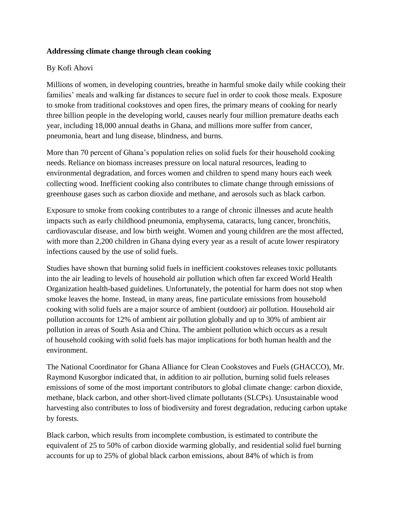### **Addressing climate change through clean cooking**

### By Kofi Ahovi

Millions of women, in developing countries, breathe in harmful smoke daily while cooking their families' meals and walking far distances to secure fuel in order to cook those meals. Exposure to smoke from traditional cookstoves and open fires, the primary means of cooking for nearly three billion people in the developing world, causes nearly four million premature deaths each year, including 18,000 annual deaths in Ghana, and millions more suffer from cancer, pneumonia, heart and lung disease, blindness, and burns.

More than 70 percent of Ghana's population relies on solid fuels for their household cooking needs. Reliance on biomass increases pressure on local natural resources, leading to environmental degradation, and forces women and children to spend many hours each week collecting wood. Inefficient cooking also contributes to climate change through emissions of greenhouse gases such as carbon dioxide and methane, and aerosols such as black carbon.

Exposure to smoke from cooking contributes to a range of chronic illnesses and acute health impacts such as early childhood pneumonia, emphysema, cataracts, lung cancer, bronchitis, cardiovascular disease, and low birth weight. Women and young children are the most affected, with more than 2,200 children in Ghana dying every year as a result of acute lower respiratory infections caused by the use of solid fuels.

Studies have shown that burning solid fuels in inefficient cookstoves releases toxic pollutants into the air leading to levels of household air pollution which often far exceed World Health Organization health-based guidelines. Unfortunately, the potential for harm does not stop when smoke leaves the home. Instead, in many areas, fine particulate emissions from household cooking with solid fuels are a major source of ambient (outdoor) air pollution. Household air pollution accounts for 12% of ambient air pollution globally and up to 30% of ambient air pollution in areas of South Asia and China. The ambient pollution which occurs as a result of household cooking with solid fuels has major implications for both human health and the environment.

The National Coordinator for Ghana Alliance for Clean Cookstoves and Fuels (GHACCO), Mr. Raymond Kusorgbor indicated that, in addition to air pollution, burning solid fuels releases emissions of some of the most important contributors to global climate change: carbon dioxide, methane, black carbon, and other short-lived climate pollutants (SLCPs). Unsustainable wood harvesting also contributes to loss of biodiversity and forest degradation, reducing carbon uptake by forests.

Black carbon, which results from incomplete combustion, is estimated to contribute the equivalent of 25 to 50% of carbon dioxide warming globally, and residential solid fuel burning accounts for up to 25% of global black carbon emissions, about 84% of which is from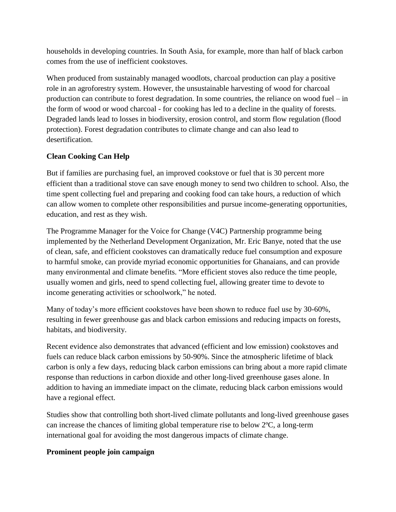households in developing countries. In South Asia, for example, more than half of black carbon comes from the use of inefficient cookstoves.

When produced from sustainably managed woodlots, charcoal production can play a positive role in an agroforestry system. However, the unsustainable harvesting of wood for charcoal production can contribute to forest degradation. In some countries, the reliance on wood fuel – in the form of wood or wood charcoal - for cooking has led to a decline in the quality of forests. Degraded lands lead to losses in biodiversity, erosion control, and storm flow regulation (flood protection). Forest degradation contributes to climate change and can also lead to desertification.

# **Clean Cooking Can Help**

But if families are purchasing fuel, an improved cookstove or fuel that is 30 percent more efficient than a traditional stove can save enough money to send two children to school. Also, the time spent collecting fuel and preparing and cooking food can take hours, a reduction of which can allow women to complete other responsibilities and pursue income-generating opportunities, education, and rest as they wish.

The Programme Manager for the Voice for Change (V4C) Partnership programme being implemented by the Netherland Development Organization, Mr. Eric Banye, noted that the use of clean, safe, and efficient cookstoves can dramatically reduce fuel consumption and exposure to harmful smoke, can provide myriad economic opportunities for Ghanaians, and can provide many environmental and climate benefits. "More efficient stoves also reduce the time people, usually women and girls, need to spend collecting fuel, allowing greater time to devote to income generating activities or schoolwork," he noted.

Many of today's more efficient cookstoves have been shown to reduce fuel use by 30-60%, resulting in fewer greenhouse gas and black carbon emissions and reducing impacts on forests, habitats, and biodiversity.

Recent evidence also demonstrates that advanced (efficient and low emission) cookstoves and fuels can reduce black carbon emissions by 50-90%. Since the atmospheric lifetime of black carbon is only a few days, reducing black carbon emissions can bring about a more rapid climate response than reductions in carbon dioxide and other long-lived greenhouse gases alone. In addition to having an immediate impact on the climate, reducing black carbon emissions would have a regional effect.

Studies show that controlling both short-lived climate pollutants and long-lived greenhouse gases can increase the chances of limiting global temperature rise to below 2ºC, a long-term international goal for avoiding the most dangerous impacts of climate change.

# **Prominent people join campaign**